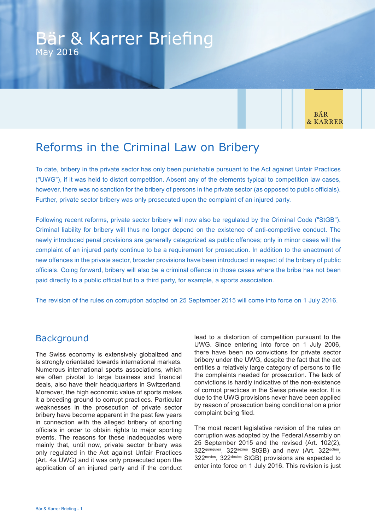**BÄR** & KARRER

# Reforms in the Criminal Law on Bribery

To date, bribery in the private sector has only been punishable pursuant to the Act against Unfair Practices ("UWG"), if it was held to distort competition. Absent any of the elements typical to competition law cases, however, there was no sanction for the bribery of persons in the private sector (as opposed to public officials). Further, private sector bribery was only prosecuted upon the complaint of an injured party.

Following recent reforms, private sector bribery will now also be regulated by the Criminal Code ("StGB"). Criminal liability for bribery will thus no longer depend on the existence of anti-competitive conduct. The newly introduced penal provisions are generally categorized as public offences; only in minor cases will the complaint of an injured party continue to be a requirement for prosecution. In addition to the enactment of new offences in the private sector, broader provisions have been introduced in respect of the bribery of public officials. Going forward, bribery will also be a criminal offence in those cases where the bribe has not been paid directly to a public official but to a third party, for example, a sports association.

The revision of the rules on corruption adopted on 25 September 2015 will come into force on 1 July 2016.

# **Background**

The Swiss economy is extensively globalized and is strongly orientated towards international markets. Numerous international sports associations, which are often pivotal to large business and financial deals, also have their headquarters in Switzerland. Moreover, the high economic value of sports makes it a breeding ground to corrupt practices. Particular weaknesses in the prosecution of private sector bribery have become apparent in the past few years in connection with the alleged bribery of sporting officials in order to obtain rights to major sporting events. The reasons for these inadequacies were mainly that, until now, private sector bribery was only regulated in the Act against Unfair Practices (Art. 4a UWG) and it was only prosecuted upon the application of an injured party and if the conduct lead to a distortion of competition pursuant to the UWG. Since entering into force on 1 July 2006, there have been no convictions for private sector bribery under the UWG, despite the fact that the act entitles a relatively large category of persons to file the complaints needed for prosecution. The lack of convictions is hardly indicative of the non-existence of corrupt practices in the Swiss private sector. It is due to the UWG provisions never have been applied by reason of prosecution being conditional on a prior complaint being filed.

The most recent legislative revision of the rules on corruption was adopted by the Federal Assembly on 25 September 2015 and the revised (Art. 102(2), 322quinquies, 322sexies StGB) and new (Art. 322octies, 322novies, 322decies StGB) provisions are expected to enter into force on 1 July 2016. This revision is just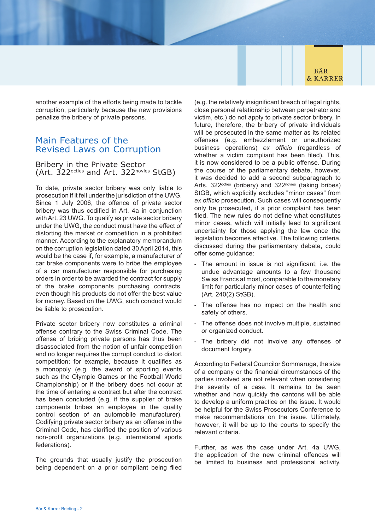

another example of the efforts being made to tackle corruption, particularly because the new provisions penalize the bribery of private persons.

# Main Features of the Revised Laws on Corruption

## Bribery in the Private Sector (Art. 322octies and Art. 322novies StGB)

To date, private sector bribery was only liable to prosecution if it fell under the jurisdiction of the UWG. Since 1 July 2006, the offence of private sector bribery was thus codified in Art. 4a in conjunction with Art. 23 UWG. To qualify as private sector bribery under the UWG, the conduct must have the effect of distorting the market or competition in a prohibited manner. According to the explanatory memorandum on the corruption legislation dated 30 April 2014, this would be the case if, for example, a manufacturer of car brake components were to bribe the employee of a car manufacturer responsible for purchasing orders in order to be awarded the contract for supply of the brake components purchasing contracts, even though his products do not offer the best value for money. Based on the UWG, such conduct would be liable to prosecution.

Private sector bribery now constitutes a criminal offense contrary to the Swiss Criminal Code. The offense of bribing private persons has thus been disassociated from the notion of unfair competition and no longer requires the corrupt conduct to distort competition; for example, because it qualifies as a monopoly (e.g. the award of sporting events such as the Olympic Games or the Football World Championship) or if the bribery does not occur at the time of entering a contract but after the contract has been concluded (e.g. if the supplier of brake components bribes an employee in the quality control section of an automobile manufacturer). Codifying private sector bribery as an offense in the Criminal Code, has clarified the position of various non-profit organizations (e.g. international sports federations).

The grounds that usually justify the prosecution being dependent on a prior compliant being filed (e.g. the relatively insignificant breach of legal rights, close personal relationship between perpetrator and victim, etc.) do not apply to private sector bribery. In future, therefore, the bribery of private individuals will be prosecuted in the same matter as its related offenses (e.g. embezzlement or unauthorized business operations) *ex officio* (regardless of whether a victim compliant has been filed). This, it is now considered to be a public offense. During the course of the parliamentary debate, however, it was decided to add a second subparagraph to Arts. 322<sup>octies</sup> (bribery) and 322<sup>novies</sup> (taking bribes) StGB, which explicitly excludes "minor cases" from *ex officio* prosecution. Such cases will consequently only be prosecuted, if a prior complaint has been filed. The new rules do not define what constitutes minor cases, which will initially lead to significant uncertainty for those applying the law once the legislation becomes effective. The following criteria, discussed during the parliamentary debate, could offer some guidance:

- The amount in issue is not significant; i.e. the undue advantage amounts to a few thousand Swiss Francs at most, comparable to the monetary limit for particularly minor cases of counterfeiting (Art. 240(2) StGB).
- The offense has no impact on the health and safety of others.
- The offense does not involve multiple, sustained or organized conduct.
- The bribery did not involve any offenses of document forgery.

According to Federal Councilor Sommaruga, the size of a company or the financial circumstances of the parties involved are not relevant when considering the severity of a case. It remains to be seen whether and how quickly the cantons will be able to develop a uniform practice on the issue. It would be helpful for the Swiss Prosecutors Conference to make recommendations on the issue. Ultimately, however, it will be up to the courts to specify the relevant criteria.

Further, as was the case under Art. 4a UWG, the application of the new criminal offences will be limited to business and professional activity.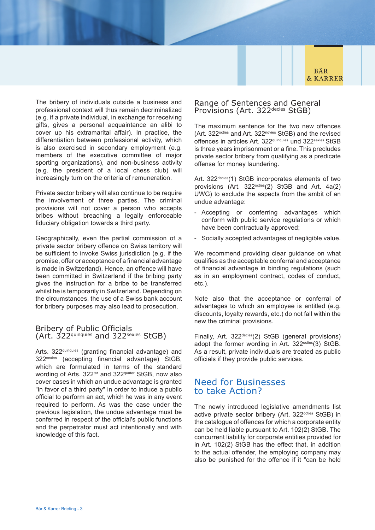**BÄR & KARRER** 

The bribery of individuals outside a business and professional context will thus remain decriminalized (e.g. if a private individual, in exchange for receiving gifts, gives a personal acquaintance an alibi to cover up his extramarital affair). In practice, the differentiation between professional activity, which is also exercised in secondary employment (e.g. members of the executive committee of major sporting organizations), and non-business activity (e.g. the president of a local chess club) will increasingly turn on the criteria of remuneration.

Private sector bribery will also continue to be require the involvement of three parties. The criminal provisions will not cover a person who accepts bribes without breaching a legally enforceable fiduciary obligation towards a third party.

Geographically, even the partial commission of a private sector bribery offence on Swiss territory will be sufficient to invoke Swiss jurisdiction (e.g. if the promise, offer or acceptance of a financial advantage is made in Switzerland). Hence, an offence will have been committed in Switzerland if the bribing party gives the instruction for a bribe to be transferred whilst he is temporarily in Switzerland. Depending on the circumstances, the use of a Swiss bank account for bribery purposes may also lead to prosecution.

# Bribery of Public Officials (Art. 322quinquies and 322sexies StGB)

Arts. 322quinquies (granting financial advantage) and 322sexies (accepting financial advantage) StGB, which are formulated in terms of the standard wording of Arts. 322<sup>ter</sup> and 322<sup>quater</sup> StGB, now also cover cases in which an undue advantage is granted "in favor of a third party" in order to induce a public official to perform an act, which he was in any event required to perform. As was the case under the previous legislation, the undue advantage must be conferred in respect of the official's public functions and the perpetrator must act intentionally and with knowledge of this fact.

# Range of Sentences and General Provisions (Art. 322decies StGB)

The maximum sentence for the two new offences (Art. 322<sup>octies</sup> and Art. 322<sup>novies</sup> StGB) and the revised offences in articles Art. 322quinquies und 322sexies StGB is three years imprisonment or a fine. This precludes private sector bribery from qualifying as a predicate offense for money laundering.

Art. 322<sup>decies</sup>(1) StGB incorporates elements of two provisions (Art. 322<sup>octies</sup>(2) StGB and Art. 4a(2) UWG) to exclude the aspects from the ambit of an undue advantage:

- Accepting or conferring advantages which conform with public service regulations or which have been contractually approved;
- Socially accepted advantages of negligible value.

We recommend providing clear guidance on what qualifies as the acceptable conferral and acceptance of financial advantage in binding regulations (such as in an employment contract, codes of conduct, etc.).

Note also that the acceptance or conferral of advantages to which an employee is entitled (e.g. discounts, loyalty rewards, etc.) do not fall within the new the criminal provisions.

Finally, Art. 322<sup>decies</sup>(2) StGB (general provisions) adopt the former wording in Art. 322<sup>octies</sup>(3) StGB. As a result, private individuals are treated as public officials if they provide public services.

# Need for Businesses to take Action?

The newly introduced legislative amendments list active private sector bribery (Art. 322<sup>octies</sup> StGB) in the catalogue of offences for which a corporate entity can be held liable pursuant to Art. 102(2) StGB. The concurrent liability for corporate entities provided for in Art. 102(2) StGB has the effect that, in addition to the actual offender, the employing company may also be punished for the offence if it "can be held